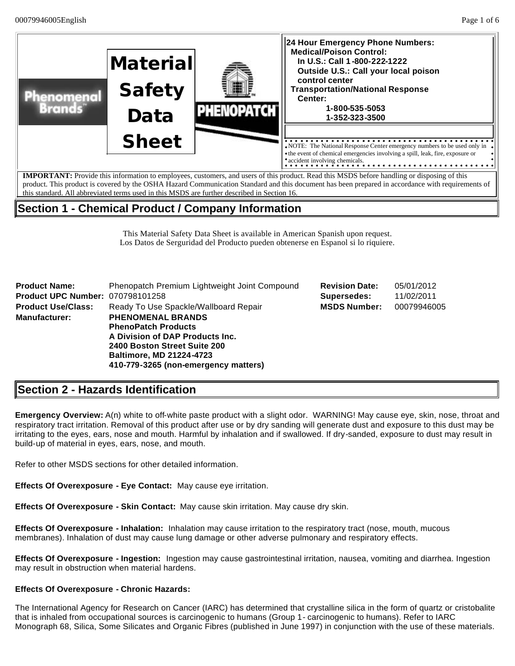

This Material Safety Data Sheet is available in American Spanish upon request. Los Datos de Serguridad del Producto pueden obtenerse en Espanol si lo riquiere.

| <b>Product Name:</b>                    | Phenopatch Premium Lightweight Joint Compound | <b>Revision Date:</b> | 05/01/2012  |  |  |
|-----------------------------------------|-----------------------------------------------|-----------------------|-------------|--|--|
| <b>Product UPC Number: 070798101258</b> |                                               | Supersedes:           | 11/02/2011  |  |  |
| <b>Product Use/Class:</b>               | Ready To Use Spackle/Wallboard Repair         | <b>MSDS Number:</b>   | 00079946005 |  |  |
| <b>Manufacturer:</b>                    | <b>PHENOMENAL BRANDS</b>                      |                       |             |  |  |
|                                         | <b>PhenoPatch Products</b>                    |                       |             |  |  |
|                                         | A Division of DAP Products Inc.               |                       |             |  |  |
|                                         | 2400 Boston Street Suite 200                  |                       |             |  |  |
|                                         | <b>Baltimore, MD 21224-4723</b>               |                       |             |  |  |
|                                         | 410-779-3265 (non-emergency matters)          |                       |             |  |  |

## **Section 2 - Hazards Identification**

**Emergency Overview:** A(n) white to off-white paste product with a slight odor. WARNING! May cause eye, skin, nose, throat and respiratory tract irritation. Removal of this product after use or by dry sanding will generate dust and exposure to this dust may be irritating to the eyes, ears, nose and mouth. Harmful by inhalation and if swallowed. If dry-sanded, exposure to dust may result in build-up of material in eyes, ears, nose, and mouth.

Refer to other MSDS sections for other detailed information.

**Effects Of Overexposure - Eye Contact:** May cause eye irritation.

**Effects Of Overexposure - Skin Contact:** May cause skin irritation. May cause dry skin.

**Effects Of Overexposure - Inhalation:** Inhalation may cause irritation to the respiratory tract (nose, mouth, mucous membranes). Inhalation of dust may cause lung damage or other adverse pulmonary and respiratory effects.

**Effects Of Overexposure - Ingestion:** Ingestion may cause gastrointestinal irritation, nausea, vomiting and diarrhea. Ingestion may result in obstruction when material hardens.

### **Effects Of Overexposure - Chronic Hazards:**

The International Agency for Research on Cancer (IARC) has determined that crystalline silica in the form of quartz or cristobalite that is inhaled from occupational sources is carcinogenic to humans (Group 1- carcinogenic to humans). Refer to IARC Monograph 68, Silica, Some Silicates and Organic Fibres (published in June 1997) in conjunction with the use of these materials.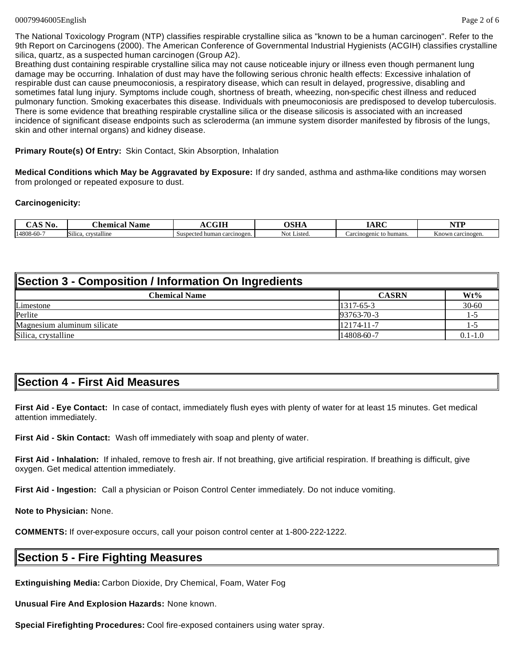The National Toxicology Program (NTP) classifies respirable crystalline silica as "known to be a human carcinogen". Refer to the 9th Report on Carcinogens (2000). The American Conference of Governmental Industrial Hygienists (ACGIH) classifies crystalline silica, quartz, as a suspected human carcinogen (Group A2).

Breathing dust containing respirable crystalline silica may not cause noticeable injury or illness even though permanent lung damage may be occurring. Inhalation of dust may have the following serious chronic health effects: Excessive inhalation of respirable dust can cause pneumoconiosis, a respiratory disease, which can result in delayed, progressive, disabling and sometimes fatal lung injury. Symptoms include cough, shortness of breath, wheezing, non-specific chest illness and reduced pulmonary function. Smoking exacerbates this disease. Individuals with pneumoconiosis are predisposed to develop tuberculosis. There is some evidence that breathing respirable crystalline silica or the disease silicosis is associated with an increased incidence of significant disease endpoints such as scleroderma (an immune system disorder manifested by fibrosis of the lungs, skin and other internal organs) and kidney disease.

**Primary Route(s) Of Entry:** Skin Contact, Skin Absorption, Inhalation

**Medical Conditions which May be Aggravated by Exposure:** If dry sanded, asthma and asthma-like conditions may worsen from prolonged or repeated exposure to dust.

### **Carcinogenicity:**

| ست<br>$\sim$<br>NU. | CH.<br>hemical<br>Name                            | $\alpha \alpha$ tt              | лстт           | $\Delta$ D $\Gamma$                     | $\mathbf{m}$             |
|---------------------|---------------------------------------------------|---------------------------------|----------------|-----------------------------------------|--------------------------|
| 14808-60-7          | <b>Silica</b><br><i>stalline</i><br><b>CA 877</b> | ected human carcinogen.<br>Sust | Listed.<br>NO. | humans<br>_arcınogen <sup>.</sup><br>и. | $-$<br>Known carcinogen. |

| Section 3 - Composition / Information On Ingredients |                  |             |  |  |  |
|------------------------------------------------------|------------------|-------------|--|--|--|
| <b>Chemical Name</b>                                 | <b>CASRN</b>     | $Wt\%$      |  |  |  |
| Limestone                                            | $1317 - 65 - 3$  | 30-60       |  |  |  |
| Perlite                                              | $93763 - 70 - 3$ | $1 - 1$     |  |  |  |
| Magnesium aluminum silicate                          | $12174 - 11 - 7$ | $1 -$       |  |  |  |
| Silica, crystalline                                  | 14808-60-7       | $0.1 - 1.0$ |  |  |  |

## **Section 4 - First Aid Measures**

**First Aid - Eye Contact:** In case of contact, immediately flush eyes with plenty of water for at least 15 minutes. Get medical attention immediately.

**First Aid - Skin Contact:** Wash off immediately with soap and plenty of water.

**First Aid - Inhalation:** If inhaled, remove to fresh air. If not breathing, give artificial respiration. If breathing is difficult, give oxygen. Get medical attention immediately.

**First Aid - Ingestion:** Call a physician or Poison Control Center immediately. Do not induce vomiting.

**Note to Physician:** None.

**COMMENTS:** If over-exposure occurs, call your poison control center at 1-800-222-1222.

### **Section 5 - Fire Fighting Measures**

**Extinguishing Media:** Carbon Dioxide, Dry Chemical, Foam, Water Fog

**Unusual Fire And Explosion Hazards:** None known.

**Special Firefighting Procedures:** Cool fire-exposed containers using water spray.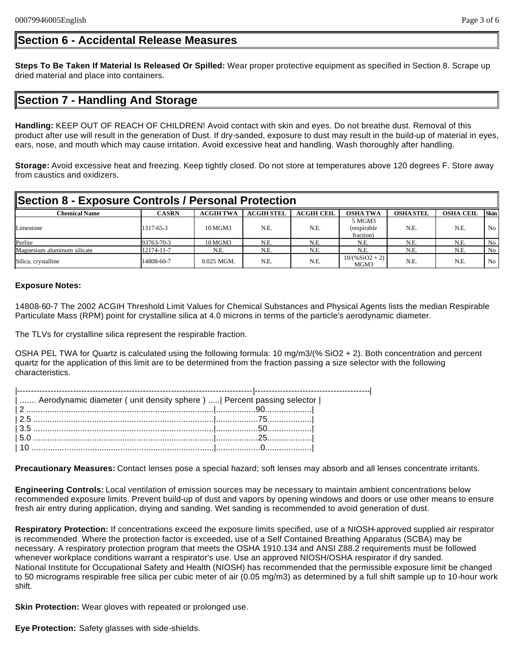## **Section 6 - Accidental Release Measures**

**Steps To Be Taken If Material Is Released Or Spilled:** Wear proper protective equipment as specified in Section 8. Scrape up dried material and place into containers.

## **Section 7 - Handling And Storage**

**Handling:** KEEP OUT OF REACH OF CHILDREN! Avoid contact with skin and eyes. Do not breathe dust. Removal of this product after use will result in the generation of Dust. If dry-sanded, exposure to dust may result in the build-up of material in eyes, ears, nose, and mouth which may cause irritation. Avoid excessive heat and handling. Wash thoroughly after handling.

**Storage:** Avoid excessive heat and freezing. Keep tightly closed. Do not store at temperatures above 120 degrees F. Store away from caustics and oxidizers.

| Section 8 - Exposure Controls / Personal Protection |              |                  |                   |                   |                                     |                  |                  |             |
|-----------------------------------------------------|--------------|------------------|-------------------|-------------------|-------------------------------------|------------------|------------------|-------------|
| <b>Chemical Name</b>                                | <b>CASRN</b> | <b>ACGIH TWA</b> | <b>ACGIH STEL</b> | <b>ACGIH CEIL</b> | <b>OSHA TWA</b>                     | <b>OSHA STEL</b> | <b>OSHA CEIL</b> | <b>Skin</b> |
| Limestone                                           | 1317-65-3    | 10 MGM3          | N.E.              | N.E.              | 5 MGM3<br>(respirable)<br>fraction) | N.E.             | N.E.             | No          |
| Perlite                                             | 93763-70-3   | 10 MGM3          | N.E.              | N.E.              | N.E.                                | N.E.             | N.E.             | No          |
| Magnesium aluminum silicate                         | 12174-11-7   | N.E.             | N.E.              | N.E.              | N.E.                                | N.E.             | N.E.             | No          |
| Silica, crystalline                                 | 14808-60-7   | $0.025$ MGM.     | N.E.              | N.E.              | $10/(%SiO2 + 2)$<br>MGM3            | N.E.             | N.E.             | No          |

### **Exposure Notes:**

14808-60-7 The 2002 ACGIH Threshold Limit Values for Chemical Substances and Physical Agents lists the median Respirable Particulate Mass (RPM) point for crystalline silica at 4.0 microns in terms of the particle's aerodynamic diameter.

The TLVs for crystalline silica represent the respirable fraction.

OSHA PEL TWA for Quartz is calculated using the following formula: 10 mg/m3/(% SiO2 + 2). Both concentration and percent quartz for the application of this limit are to be determined from the fraction passing a size selector with the following characteristics.

| Aerodynamic diameter ( unit density sphere )    Percent passing selector |  |
|--------------------------------------------------------------------------|--|
|                                                                          |  |
|                                                                          |  |
|                                                                          |  |
|                                                                          |  |
|                                                                          |  |
|                                                                          |  |

**Precautionary Measures:** Contact lenses pose a special hazard; soft lenses may absorb and all lenses concentrate irritants.

**Engineering Controls:** Local ventilation of emission sources may be necessary to maintain ambient concentrations below recommended exposure limits. Prevent build-up of dust and vapors by opening windows and doors or use other means to ensure fresh air entry during application, drying and sanding. Wet sanding is recommended to avoid generation of dust.

**Respiratory Protection:** If concentrations exceed the exposure limits specified, use of a NIOSH-approved supplied air respirator is recommended. Where the protection factor is exceeded, use of a Self Contained Breathing Apparatus (SCBA) may be necessary. A respiratory protection program that meets the OSHA 1910.134 and ANSI Z88.2 requirements must be followed whenever workplace conditions warrant a respirator's use. Use an approved NIOSH/OSHA respirator if dry sanded. National Institute for Occupational Safety and Health (NIOSH) has recommended that the permissible exposure limit be changed to 50 micrograms respirable free silica per cubic meter of air (0.05 mg/m3) as determined by a full shift sample up to 10-hour work shift.

**Skin Protection:** Wear gloves with repeated or prolonged use.

**Eye Protection:** Safety glasses with side-shields.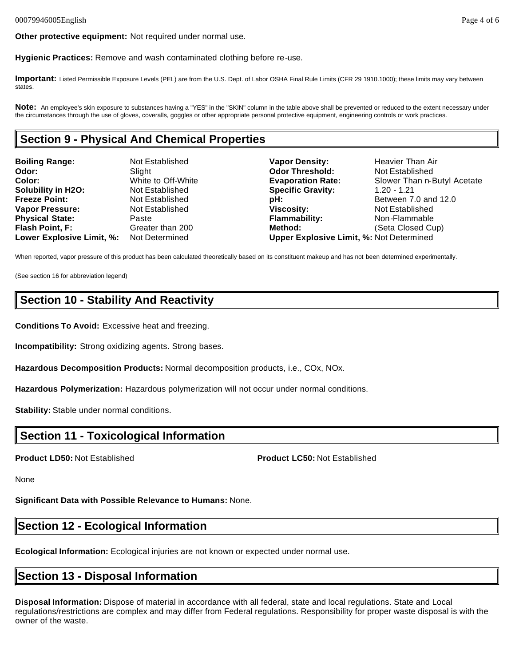**Hygienic Practices:** Remove and wash contaminated clothing before re-use.

**Important:** Listed Permissible Exposure Levels (PEL) are from the U.S. Dept. of Labor OSHA Final Rule Limits (CFR 29 1910.1000); these limits may vary between states.

Note: An employee's skin exposure to substances having a "YES" in the "SKIN" column in the table above shall be prevented or reduced to the extent necessary under the circumstances through the use of gloves, coveralls, goggles or other appropriate personal protective equipment, engineering controls or work practices.

## **Section 9 - Physical And Chemical Properties**

| <b>Boiling Range:</b>     | Not Established    | <b>Vapor Density:</b>                           | <b>Heavier Than Air</b>     |
|---------------------------|--------------------|-------------------------------------------------|-----------------------------|
| Odor:                     | Slight             | <b>Odor Threshold:</b>                          | Not Established             |
| Color:                    | White to Off-White | <b>Evaporation Rate:</b>                        | Slower Than n-Butyl Acetate |
| <b>Solubility in H2O:</b> | Not Established    | <b>Specific Gravity:</b>                        | $1.20 - 1.21$               |
| <b>Freeze Point:</b>      | Not Established    | pH:                                             | Between 7.0 and 12.0        |
| <b>Vapor Pressure:</b>    | Not Established    | <b>Viscosity:</b>                               | Not Established             |
| <b>Physical State:</b>    | Paste              | <b>Flammability:</b>                            | Non-Flammable               |
| <b>Flash Point, F:</b>    | Greater than 200   | Method:                                         | (Seta Closed Cup)           |
| Lower Explosive Limit, %: | Not Determined     | <b>Upper Explosive Limit, %: Not Determined</b> |                             |

When reported, vapor pressure of this product has been calculated theoretically based on its constituent makeup and has not been determined experimentally.

(See section 16 for abbreviation legend)

## **Section 10 - Stability And Reactivity**

**Conditions To Avoid:** Excessive heat and freezing.

**Incompatibility:** Strong oxidizing agents. Strong bases.

**Hazardous Decomposition Products:** Normal decomposition products, i.e., COx, NOx.

**Hazardous Polymerization:** Hazardous polymerization will not occur under normal conditions.

**Stability:** Stable under normal conditions.

## **Section 11 - Toxicological Information**

**Product LD50:** Not Established **Product LC50:** Not Established

None

**Significant Data with Possible Relevance to Humans:** None.

## **Section 12 - Ecological Information**

**Ecological Information:** Ecological injuries are not known or expected under normal use.

## **Section 13 - Disposal Information**

**Disposal Information:** Dispose of material in accordance with all federal, state and local regulations. State and Local regulations/restrictions are complex and may differ from Federal regulations. Responsibility for proper waste disposal is with the owner of the waste.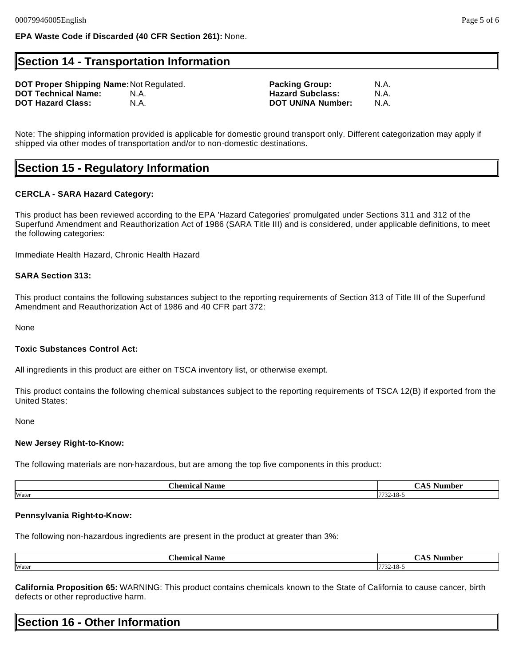### **Section 14 - Transportation Information**

**DOT Proper Shipping Name:** Not Regulated. **Packing Group:** N.A. **DOT Technical Name:** N.A. **Hazard Subclass:** N.A. **DOT Hazard Class: N.A. N.A. BET UN/NA Number:** 

Note: The shipping information provided is applicable for domestic ground transport only. Different categorization may apply if shipped via other modes of transportation and/or to non-domestic destinations.

## **Section 15 - Regulatory Information**

### **CERCLA - SARA Hazard Category:**

This product has been reviewed according to the EPA 'Hazard Categories' promulgated under Sections 311 and 312 of the Superfund Amendment and Reauthorization Act of 1986 (SARA Title III) and is considered, under applicable definitions, to meet the following categories:

Immediate Health Hazard, Chronic Health Hazard

### **SARA Section 313:**

This product contains the following substances subject to the reporting requirements of Section 313 of Title III of the Superfund Amendment and Reauthorization Act of 1986 and 40 CFR part 372:

None

#### **Toxic Substances Control Act:**

All ingredients in this product are either on TSCA inventory list, or otherwise exempt.

This product contains the following chemical substances subject to the reporting requirements of TSCA 12(B) if exported from the United States:

None

#### **New Jersey Right-to-Know:**

The following materials are non-hazardous, but are among the top five components in this product:

| -<br>n.<br>:hemical<br>Name | -<br>Jumbar       |
|-----------------------------|-------------------|
| Water                       | $- - -$<br>34-10- |

#### **Pennsylvania Right-to-Know:**

The following non-hazardous ingredients are present in the product at greater than 3%:

| - hemice - | he.          |
|------------|--------------|
| Name       | Num          |
|            | .,           |
| Water      | $.32 - 18 -$ |

**California Proposition 65:** WARNING: This product contains chemicals known to the State of California to cause cancer, birth defects or other reproductive harm.

# **Section 16 - Other Information**